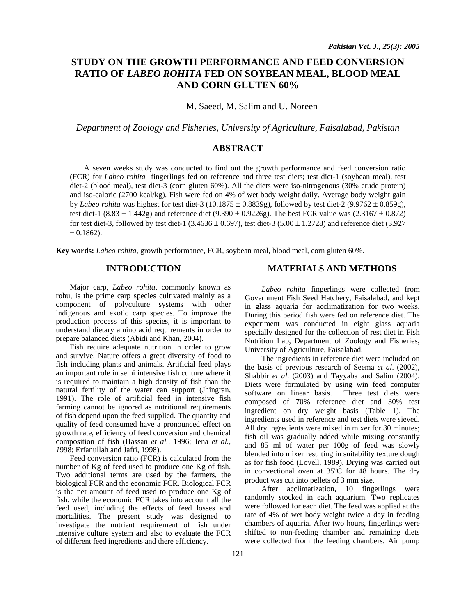# **STUDY ON THE GROWTH PERFORMANCE AND FEED CONVERSION RATIO OF** *LABEO ROHITA* **FED ON SOYBEAN MEAL, BLOOD MEAL AND CORN GLUTEN 60%**

M. Saeed, M. Salim and U. Noreen

*Department of Zoology and Fisheries, University of Agriculture, Faisalabad, Pakistan* 

## **ABSTRACT**

A seven weeks study was conducted to find out the growth performance and feed conversion ratio (FCR) for *Labeo rohita* fingerlings fed on reference and three test diets; test diet-1 (soybean meal), test diet-2 (blood meal), test diet-3 (corn gluten 60%). All the diets were iso-nitrogenous (30% crude protein) and iso-caloric (2700 kcal/kg). Fish were fed on 4% of wet body weight daily. Average body weight gain by *Labeo rohita* was highest for test diet-3 (10.1875  $\pm$  0.8839g), followed by test diet-2 (9.9762  $\pm$  0.859g), test diet-1 (8.83  $\pm$  1.442g) and reference diet (9.390  $\pm$  0.9226g). The best FCR value was (2.3167  $\pm$  0.872) for test diet-3, followed by test diet-1 (3.4636  $\pm$  0.697), test diet-3 (5.00  $\pm$  1.2728) and reference diet (3.927)  $± 0.1862$ ).

**Key words:** *Labeo rohita,* growth performance, FCR, soybean meal, blood meal, corn gluten 60%.

## **INTRODUCTION**

Major carp, *Labeo rohita*, commonly known as rohu, is the prime carp species cultivated mainly as a component of polyculture systems with other indigenous and exotic carp species. To improve the production process of this species, it is important to understand dietary amino acid requirements in order to prepare balanced diets (Abidi and Khan, 2004).

Fish require adequate nutrition in order to grow and survive. Nature offers a great diversity of food to fish including plants and animals. Artificial feed plays an important role in semi intensive fish culture where it is required to maintain a high density of fish than the natural fertility of the water can support (Jhingran, 1991). The role of artificial feed in intensive fish farming cannot be ignored as nutritional requirements of fish depend upon the feed supplied. The quantity and quality of feed consumed have a pronounced effect on growth rate, efficiency of feed conversion and chemical composition of fish (Hassan *et al.,* 1996; Jena *et al., 1*998; Erfanullah and Jafri, 1998).

Feed conversion ratio (FCR) is calculated from the number of Kg of feed used to produce one Kg of fish. Two additional terms are used by the farmers, the biological FCR and the economic FCR. Biological FCR is the net amount of feed used to produce one Kg of fish, while the economic FCR takes into account all the feed used, including the effects of feed losses and mortalities. The present study was designed to investigate the nutrient requirement of fish under intensive culture system and also to evaluate the FCR of different feed ingredients and there efficiency.

#### **MATERIALS AND METHODS**

*Labeo rohita* fingerlings were collected from Government Fish Seed Hatchery, Faisalabad, and kept in glass aquaria for acclimatization for two weeks. During this period fish were fed on reference diet. The experiment was conducted in eight glass aquaria specially designed for the collection of rest diet in Fish Nutrition Lab, Department of Zoology and Fisheries, University of Agriculture, Faisalabad.

The ingredients in reference diet were included on the basis of previous research of Seema *et al*. (2002), Shabbir *et al*. (2003) and Tayyaba and Salim (2004). Diets were formulated by using win feed computer software on linear basis. Three test diets were composed of 70% reference diet and 30% test ingredient on dry weight basis (Table 1). The ingredients used in reference and test diets were sieved. All dry ingredients were mixed in mixer for 30 minutes; fish oil was gradually added while mixing constantly and 85 ml of water per 100g of feed was slowly blended into mixer resulting in suitability texture dough as for fish food (Lovell, 1989). Drying was carried out in convectional oven at  $35^{\circ}$ C for 48 hours. The dry product was cut into pellets of 3 mm size.

After acclimatization, 10 fingerlings were randomly stocked in each aquarium. Two replicates were followed for each diet. The feed was applied at the rate of 4% of wet body weight twice a day in feeding chambers of aquaria. After two hours, fingerlings were shifted to non-feeding chamber and remaining diets were collected from the feeding chambers. Air pump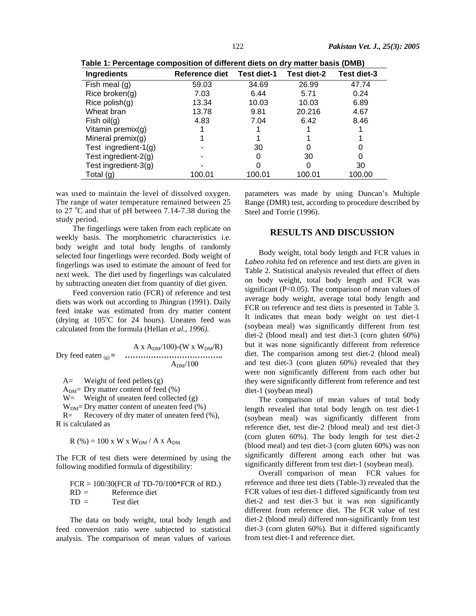| ו מטורט ו. די פונעס ו האט ווייט אינט ווייט ווייט ווייט אינט ווייט ווייט ווייט ווייט ווייט ווייט ווי |                |             |             |             |  |
|-----------------------------------------------------------------------------------------------------|----------------|-------------|-------------|-------------|--|
| <b>Ingredients</b>                                                                                  | Reference diet | Test diet-1 | Test diet-2 | Test diet-3 |  |
| Fish meal $(q)$                                                                                     | 59.03          | 34.69       | 26.99       | 47.74       |  |
| Rice broken $(q)$                                                                                   | 7.03           | 6.44        | 5.71        | 0.24        |  |
| Rice polish $(g)$                                                                                   | 13.34          | 10.03       | 10.03       | 6.89        |  |
| Wheat bran                                                                                          | 13.78          | 9.81        | 20.216      | 4.67        |  |
| Fish $oil(g)$                                                                                       | 4.83           | 7.04        | 6.42        | 8.46        |  |
| Vitamin premix(g)                                                                                   |                |             |             |             |  |
| Mineral premix $(q)$                                                                                |                |             |             |             |  |
| Test ingredient- $1(g)$                                                                             |                | 30          | O           |             |  |
| Test ingredient- $2(q)$                                                                             |                |             | 30          |             |  |
| Test ingredient- $3(g)$                                                                             |                |             | 0           | 30          |  |
| Total $(g)$                                                                                         | 100.01         | 100.01      | 100.01      | 100.00      |  |

 **Table 1: Percentage composition of different diets on dry matter basis (DMB)** 

was used to maintain the level of dissolved oxygen. The range of water temperature remained between 25 to 27  $\mathrm{^{\circ}C}$  and that of pH between 7.14-7.38 during the study period.

The fingerlings were taken from each replicate on weekly basis. The morphometric characteristics i.e. body weight and total body lengths of randomly selected four fingerlings were recorded. Body weight of fingerlings was used to estimate the amount of feed for next week. The diet used by fingerlings was calculated by subtracting uneaten diet from quantity of diet given.

Feed conversion ratio (FCR) of reference and test diets was work out according to Jhingran (1991). Daily feed intake was estimated from dry matter content (drying at  $105^{\circ}$ C for 24 hours). Uneaten feed was calculated from the formula (Hellan *et al., 1996).*

$$
A x A_{DM}/100)-(W x W_{DM}/R)
$$
  
Try feed eaten <sub>(g)</sub> =   
.................  
  $A_{DM}/100$ 

 $A=$  Weight of feed pellets (g)  $A<sub>DM</sub>$  Dry matter content of feed (%)  $W=$  Weight of uneaten feed collected (g)  $W_{DM}$ = Dry matter content of uneaten feed (%)<br>R= Recovery of dry mater of uneaten feed Recovery of dry mater of uneaten feed (%),

R is calculated as

$$
R(\%) = 100 \text{ x W x WDM / A x ADM
$$

The FCR of test diets were determined by using the following modified formula of digestibility:

FCR = 100/30(FCR of TD-70/100\*FCR of RD.) RD = Reference diet TD = Test diet

The data on body weight, total body length and feed conversion ratio were subjected to statistical analysis. The comparison of mean values of various parameters was made by using Duncan's Multiple Range (DMR) test, according to procedure described by Steel and Torrie (1996).

## **RESULTS AND DISCUSSION**

Body weight, total body length and FCR values in *Labeo rohita* fed on reference and test diets are given in Table 2. Statistical analysis revealed that effect of diets on body weight, total body length and FCR was significant (P<0.05). The comparison of mean values of average body weight, average total body length and FCR on reference and test diets is presented in Table 3. It indicates that mean body weight on test diet-1 (soybean meal) was significantly different from test diet-2 (blood meal) and test diet-3 (corn gluten 60%) but it was none significantly different from reference diet. The comparison among test diet-2 (blood meal) and test diet-3 (corn gluten 60%) revealed that they were non significantly different from each other but they were significantly different from reference and test diet-1 (soybean meal)

The comparison of mean values of total body length revealed that total body length on test diet-1 (soybean meal) was significantly different from reference diet, test die-2 (blood meal) and test diet-3 (corn gluten 60%). The body length for test diet-2 (blood meal) and test diet-3 (corn gluten 60%) was non significantly different among each other but was significantly different from test diet-1 (soybean meal).

Overall comparison of mean FCR values for reference and three test diets (Table-3) revealed that the FCR values of test diet-1 differed significantly from test diet-2 and test diet-3 but it was non significantly different from reference diet. The FCR value of test diet-2 (blood meal) differed non-significantly from test diet-3 (corn gluten 60%). But it differed significantly from test diet-1 and reference diet.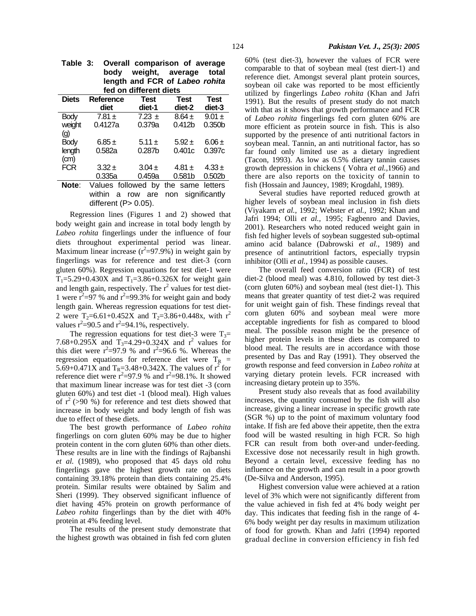| fed on different diets |                    |                    |                    |                    |  |
|------------------------|--------------------|--------------------|--------------------|--------------------|--|
| <b>Diets</b>           | Reference          | <b>Test</b>        | <b>Test</b>        | <b>Test</b>        |  |
|                        | diet               | diet-1             | diet-2             | diet-3             |  |
| <b>Body</b>            | $7.81 \pm$         | $7.23 \pm$         | $8.64 \pm$         | $9.01 \pm$         |  |
| weight                 | 0.4127a            | 0.379a             | 0.412 <sub>b</sub> | 0.350 <sub>b</sub> |  |
| $\left( 9\right)$      |                    |                    |                    |                    |  |
| <b>Body</b>            | $6.85 \pm$         | $5.11 \pm$         | $5.92 \pm$         | $6.06 \pm$         |  |
| length                 | 0.582a             | 0.287 <sub>b</sub> | 0.401c             | 0.397c             |  |
| (cm)                   |                    |                    |                    |                    |  |
| <b>FCR</b>             | $3.32 \pm$         | $3.04 \pm$         | 4.81 $\pm$         | $4.33 \pm$         |  |
|                        | 0.335a             | 0.459a             | 0.581 <sub>b</sub> | 0.502 <sub>b</sub> |  |
| Note:                  | Values followed by |                    | the same letters   |                    |  |
|                        | within<br>a        | are<br>row         | non significantly  |                    |  |

different  $(P> 0.05)$ .

| Table 3: Overall comparison of average |
|----------------------------------------|
| body weight, average total             |
| length and FCR of Labeo rohita         |
| fed on different diets                 |

Regression lines (Figures 1 and 2) showed that body weight gain and increase in total body length by *Labeo rohita* fingerlings under the influence of four diets throughout experimental period was linear. Maximum linear increase  $(r^2=97.9\%)$  in weight gain by fingerlings was for reference and test diet-3 (corn gluten 60%). Regression equations for test diet-1 were  $T_1 = 5.29 + 0.430X$  and  $T_1 = 3.86 + 0.326X$  for weight gain and length gain, respectively. The  $r^2$  values for test diet-1 were  $r^2 = 97$  % and  $r^2 = 99.3$ % for weight gain and body length gain. Whereas regression equations for test diet-2 were T<sub>2</sub>=6.61+0.452X and T<sub>2</sub>=3.86+0.448x, with r<sup>2</sup> values  $r^2 = 90.5$  and  $r^2 = 94.1\%$ , respectively.

The regression equations for test diet-3 were  $T_3$ = 7.68+0.295X and  $T_3=4.29+0.324X$  and  $r^2$  values for this diet were  $r^2=97.9$  % and  $r^2=96.6$  %. Whereas the regression equations for reference diet were  $T_R$  = 5.69+0.471X and  $T_R = 3.48 + 0.342X$ . The values of  $r^2$  for reference diet were  $\vec{r}^2$ =97.9 % and  $\vec{r}$ =98.1%. It showed that maximum linear increase was for test diet -3 (corn gluten 60%) and test diet -1 (blood meal). High values of  $r^2$  (>90 %) for reference and test diets showed that increase in body weight and body length of fish was due to effect of these diets.

The best growth performance of *Labeo rohita*  fingerlings on corn gluten 60% may be due to higher protein content in the corn gluten 60% than other diets. These results are in line with the findings of Rajbanshi *et al.* (1989), who proposed that 45 days old rohu fingerlings gave the highest growth rate on diets containing 39.18% protein than diets containing 25.4% protein. Similar results were obtained by Salim and Sheri (1999). They observed significant influence of diet having 45% protein on growth performance of *Labeo rohita* fingerlings than by the diet with 40% protein at 4% feeding level.

The results of the present study demonstrate that the highest growth was obtained in fish fed corn gluten 60% (test diet-3), however the values of FCR were comparable to that of soybean meal (test diert-1) and reference diet. Amongst several plant protein sources, soybean oil cake was reported to be most efficiently utilized by fingerlings *Labeo rohita* (Khan and Jafri 1991). But the results of present study do not match with that as it shows that growth performance and FCR of *Labeo rohita* fingerlings fed corn gluten 60% are more efficient as protein source in fish. This is also supported by the presence of anti nutritional factors in soybean meal. Tannin, an anti nutritional factor, has so far found only limited use as a dietary ingredient (Tacon, 1993). As low as 0.5% dietary tannin causes growth depression in chickens ( Vohra *et al.,*1966) and there are also reports on the toxicity of tannin to fish (Hossain and Jauncey, 1989; Krogdahl, 1989).

Several studies have reported reduced growth at higher levels of soybean meal inclusion in fish diets (Viyakarn *et al.,* 1992; Webster *et al.,* 1992; Khan and Jafri 1994; Olli *et al.,* 1995; Fagbenro and Davies, 2001). Researchers who noted reduced weight gain in fish fed higher levels of soybean suggested sub-optimal amino acid balance (Dabrowski *et al.,* 1989) and presence of antinutritionl factors, especially trypsin inhibitor (Olli *et al.,* 1994) as possible causes.

The overall feed conversion ratio (FCR) of test diet-2 (blood meal) was 4.810, followed by test diet-3 (corn gluten 60%) and soybean meal (test diet-1). This means that greater quantity of test diet-2 was required for unit weight gain of fish. These findings reveal that corn gluten 60% and soybean meal were more acceptable ingredients for fish as compared to blood meal. The possible reason might be the presence of higher protein levels in these diets as compared to blood meal. The results are in accordance with those presented by Das and Ray (1991). They observed the growth response and feed conversion in *Labeo rohita* at varying dietary protein levels. FCR increased with increasing dietary protein up to 35%.

Present study also reveals that as food availability increases, the quantity consumed by the fish will also increase, giving a linear increase in specific growth rate (SGR %) up to the point of maximum voluntary food intake. If fish are fed above their appetite, then the extra food will be wasted resulting in high FCR. So high FCR can result from both over-and under-feeding. Excessive dose not necessarily result in high growth. Beyond a certain level, excessive feeding has no influence on the growth and can result in a poor growth (De-Silva and Anderson, 1995).

Highest conversion value were achieved at a ration level of 3% which were not significantly different from the value achieved in fish fed at 4% body weight per day. This indicates that feeding fish in the range of 4- 6% body weight per day results in maximum utilization of food for growth. Khan and Jafri (1994) reported gradual decline in conversion efficiency in fish fed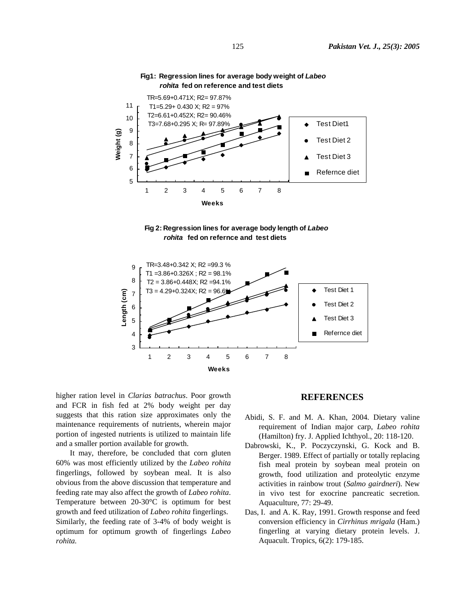

## **Fig1: Regression lines for average body weight of** *Labeo rohita* **fed on reference and test diets**





higher ration level in *Clarias batrachus*. Poor growth and FCR in fish fed at 2% body weight per day suggests that this ration size approximates only the maintenance requirements of nutrients, wherein major portion of ingested nutrients is utilized to maintain life and a smaller portion available for growth.

It may, therefore, be concluded that corn gluten 60% was most efficiently utilized by the *Labeo rohita* fingerlings, followed by soybean meal. It is also obvious from the above discussion that temperature and feeding rate may also affect the growth of *Labeo rohita*. Temperature between 20-30°C is optimum for best growth and feed utilization of *Labeo rohita* fingerlings. Similarly, the feeding rate of 3-4% of body weight is optimum for optimum growth of fingerlings *Labeo rohita.* 

## **REFERENCES**

- Abidi, S. F. and M. A. Khan, 2004. Dietary valine requirement of Indian major carp, *Labeo rohita* (Hamilton) fry. J. Applied Ichthyol., 20: 118-120.
- Dabrowski, K., P. Poczyczynski, G. Kock and B. Berger. 1989. Effect of partially or totally replacing fish meal protein by soybean meal protein on growth, food utilization and proteolytic enzyme activities in rainbow trout (*Salmo gairdneri*). New in vivo test for exocrine pancreatic secretion. Aquaculture, 77: 29-49.
- Das, I. and A. K. Ray, 1991. Growth response and feed conversion efficiency in *Cirrhinus mrigala* (Ham.) fingerling at varying dietary protein levels. J. Aquacult. Tropics, 6(2): 179-185.